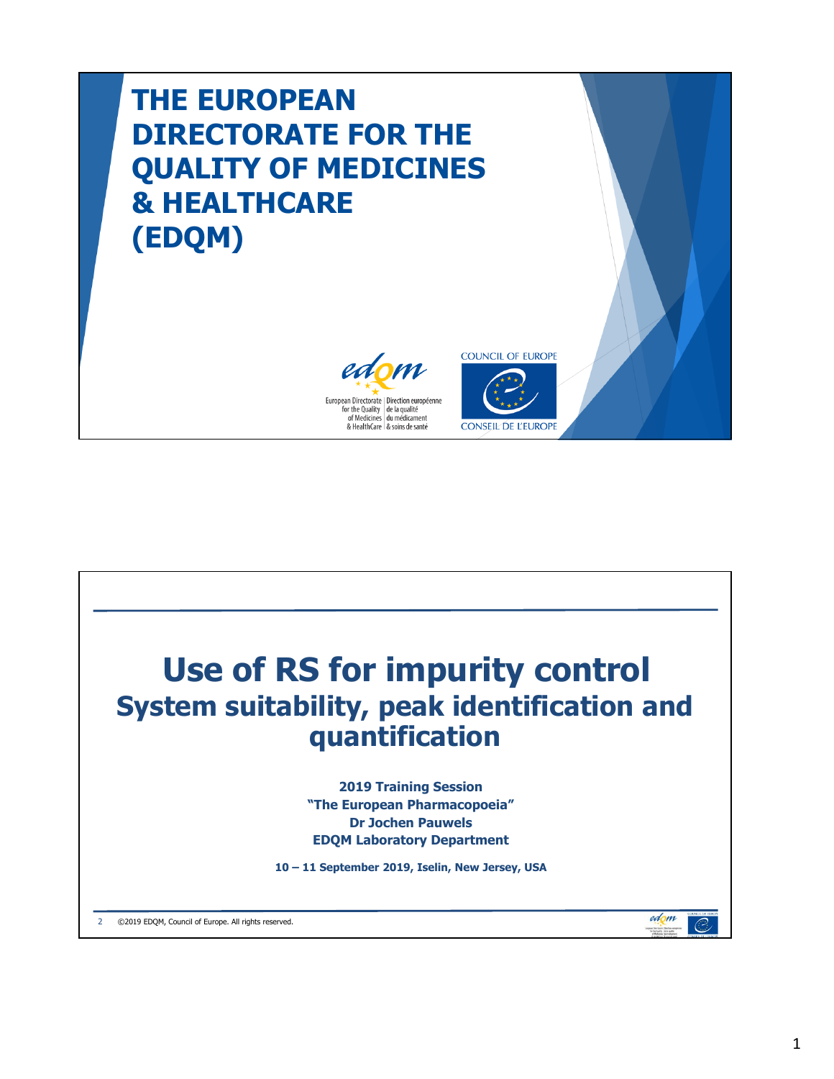# **THE EUROPEAN DIRECTORATE FOR THE QUALITY OF MEDICINES & HEALTHCARE (EDQM)**





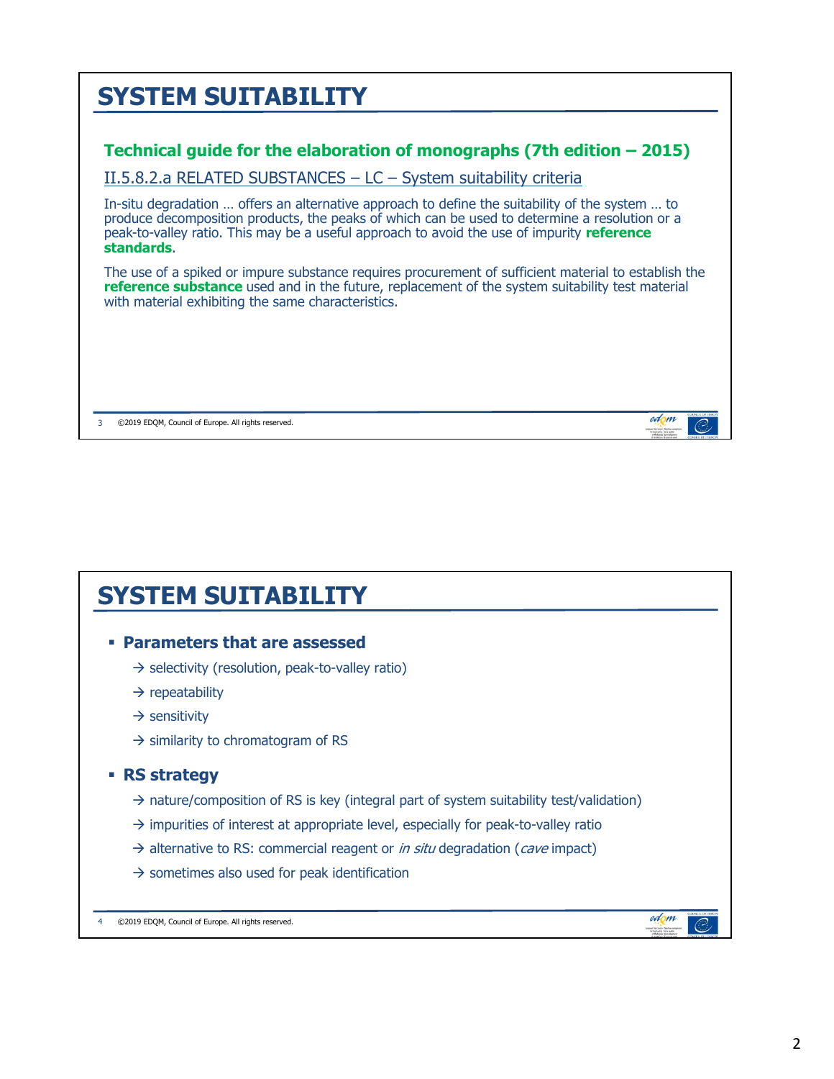

### **SYSTEM SUITABILITY**

#### **Parameters that are assessed**

- $\rightarrow$  selectivity (resolution, peak-to-valley ratio)
- $\rightarrow$  repeatability
- $\rightarrow$  sensitivity
- $\rightarrow$  similarity to chromatogram of RS

#### **RS strategy**

- $\rightarrow$  nature/composition of RS is key (integral part of system suitability test/validation)
- $\rightarrow$  impurities of interest at appropriate level, especially for peak-to-valley ratio
- $\rightarrow$  alternative to RS: commercial reagent or *in situ* degradation (*cave* impact)
- $\rightarrow$  sometimes also used for peak identification

4 ©2019 EDQM, Council of Europe. All rights reserved.

edom

 $\mathcal{O}$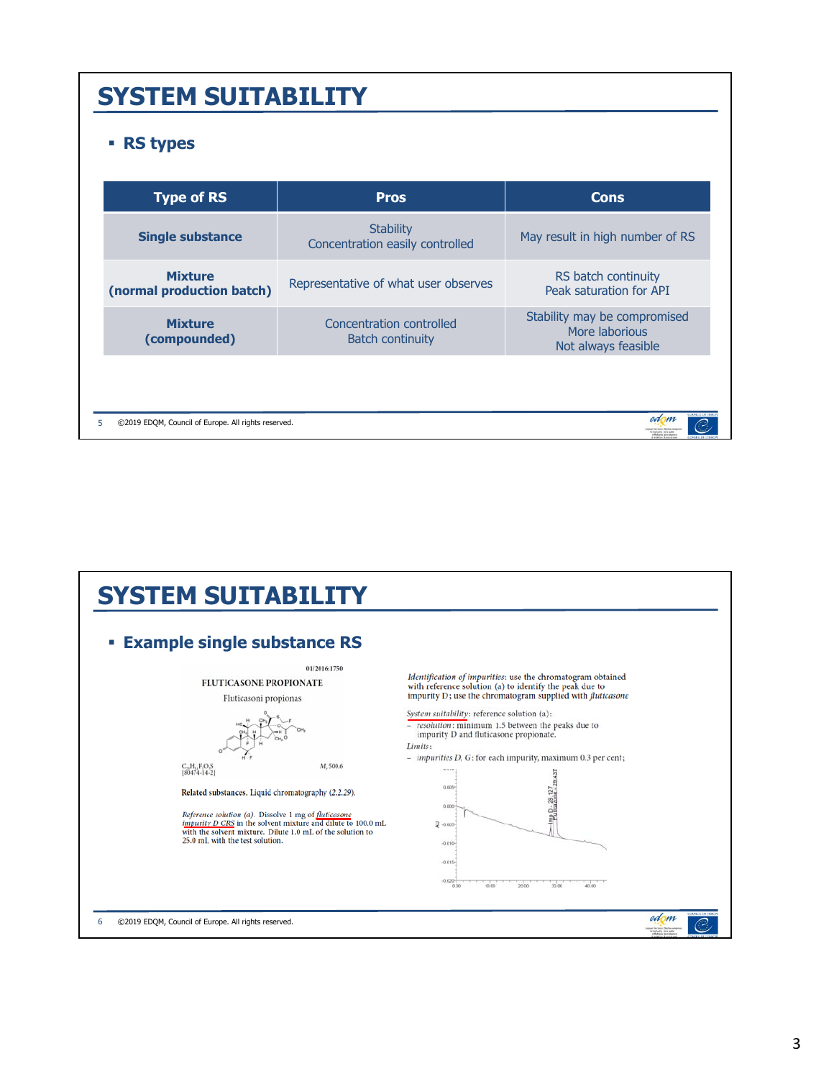### **SYSTEM SUITABILITY**

#### **RS types**

| <b>Type of RS</b>                           | <b>Pros</b>                                         | <b>Cons</b>                                                           |
|---------------------------------------------|-----------------------------------------------------|-----------------------------------------------------------------------|
| <b>Single substance</b>                     | <b>Stability</b><br>Concentration easily controlled | May result in high number of RS                                       |
| <b>Mixture</b><br>(normal production batch) | Representative of what user observes                | RS batch continuity<br>Peak saturation for API                        |
| <b>Mixture</b><br>(compounded)              | Concentration controlled<br><b>Batch continuity</b> | Stability may be compromised<br>More laborious<br>Not always feasible |

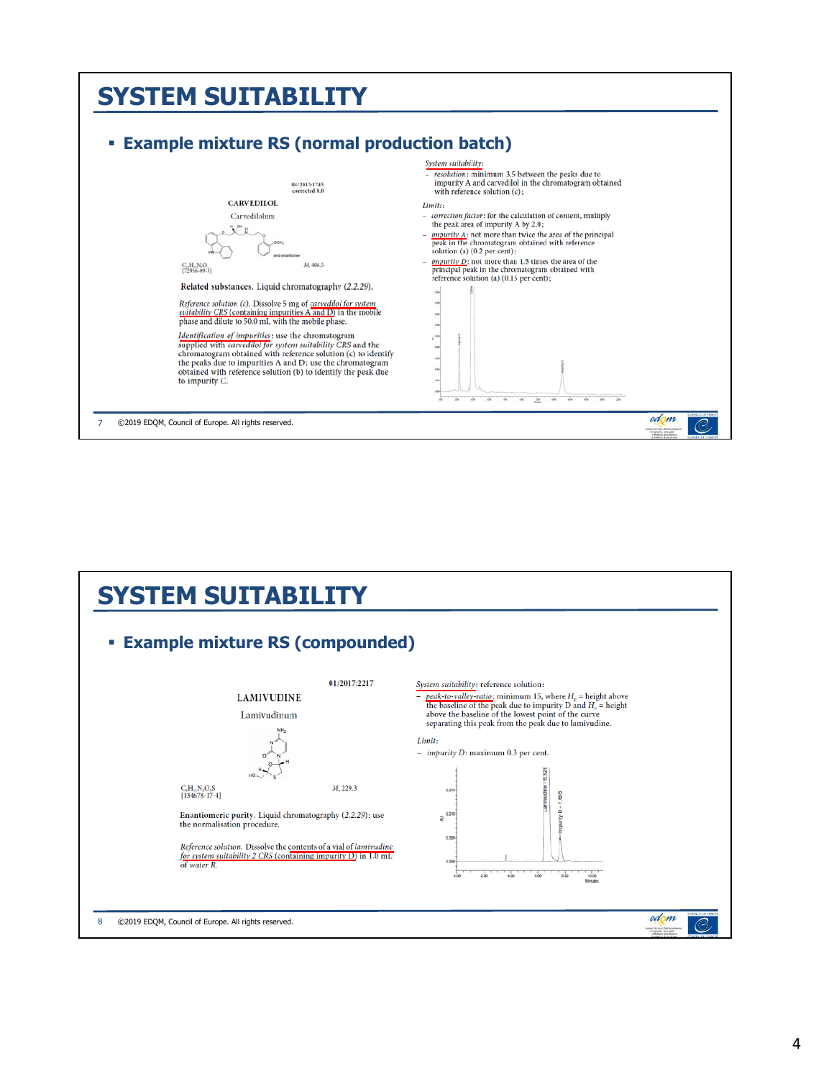#### **SYSTEM SUITABILITY Example mixture RS (normal production batch)**  System suitability: resolution: minimum 3.5 between the peaks due to impurity A and carvedilol in the chromatogram obtained<br>with reference solution  $(c)$ ; 04/2012:1745 **CARVEDILOL** Limits: Carvedilolum correction factor: for the calculation of content, multiply<br>the peak area of impurity A by 2.0;  $n<sup>2</sup>$  $\frac{impurity}{Area}$  A: not more than twice the area of the principal peak in the chromatogram obtained with reference solution (a) (0.2 per cent); *Example in purity*  $D$ : not more than 1.5 times the area of the principal peak in the chromatogram obtained with reference solution (a) (0.15 per cent);  $\substack{\mathbf{C}_{14}\mathbf{H}_{20}\mathbf{N}_2\mathbf{O}_4\\[72956-09-3]}$ M, 406.5 Related substances. Liquid chromatography (2.2.29). Reference solution (c). Dissolve 5 mg of carvedilol for system suitability CRS (containing impurities  $\overline{A}$  and  $\overline{D}$ ) in the mobile phase and dilute to 50.0 mL with the mobile phase.  $\frac{1}{2}$  $\mathbf{L} \cdot \mathbf{L}$  $\label{eq:1} \begin{array}{ll} \textit{Identification of impurities: use the chromatogram}\\ \textit{supplied with } carvedilot for system\\ \textit{sufficiently} \textit{CRS} \textit{and the}\\\ \textit{chromatogram obtained with reference solution (c) to identify} \end{array}$ the peaks due to impurities A and D; use the chromatogram<br>obtained with reference solution (b) to identify the peak due i, to impurity C.  $\sim$ 盆 edom 7 ©2019 EDQM, Council of Europe. All rights reserved. C

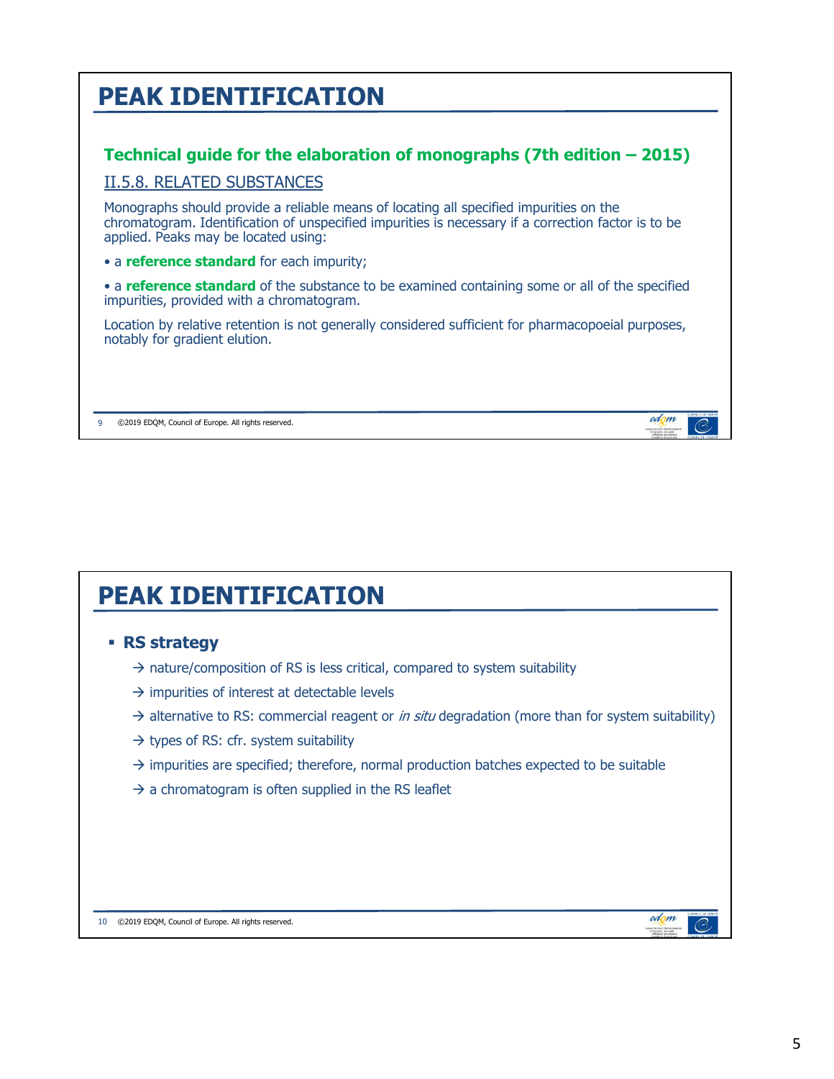## **PEAK IDENTIFICATION**

### **Technical guide for the elaboration of monographs (7th edition – 2015)**

#### II.5.8. RELATED SUBSTANCES

Monographs should provide a reliable means of locating all specified impurities on the chromatogram. Identification of unspecified impurities is necessary if a correction factor is to be applied. Peaks may be located using:

• a **reference standard** for each impurity;

• a **reference standard** of the substance to be examined containing some or all of the specified impurities, provided with a chromatogram.

Location by relative retention is not generally considered sufficient for pharmacopoeial purposes, notably for gradient elution.

9 ©2019 EDQM, Council of Europe. All rights reserved.

## **PEAK IDENTIFICATION**

#### **RS strategy**

- $\rightarrow$  nature/composition of RS is less critical, compared to system suitability
- $\rightarrow$  impurities of interest at detectable levels
- $\rightarrow$  alternative to RS: commercial reagent or *in situ* degradation (more than for system suitability)
- $\rightarrow$  types of RS: cfr. system suitability
- $\rightarrow$  impurities are specified; therefore, normal production batches expected to be suitable
- $\rightarrow$  a chromatogram is often supplied in the RS leaflet

10 ©2019 EDQM, Council of Europe. All rights reserved.

edom

edom

 $\mathcal{O}$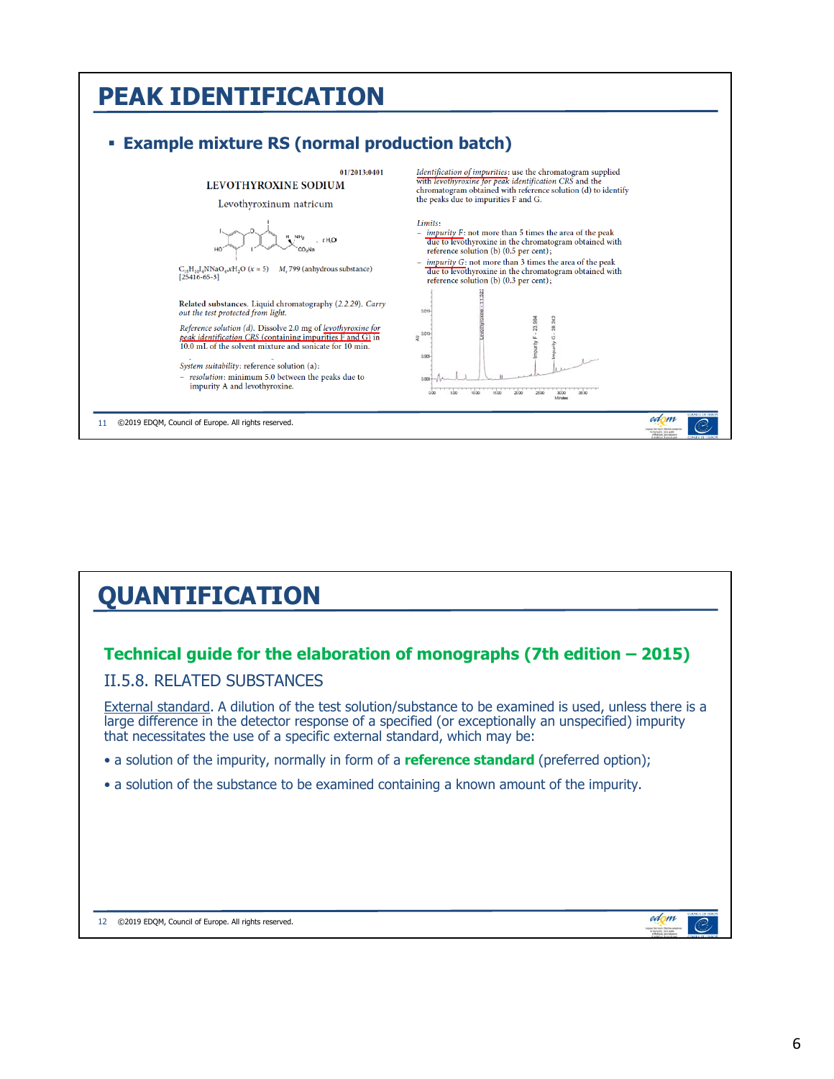#### **PEAK IDENTIFICATION Example mixture RS (normal production batch)**  01/2013:0401 Identification of impurities: use the chromatogram supplied with levothyroxine for peak identification CRS and the<br>chromatogram obtained with reference solution (d) to identify LEVOTHYROXINE SODIUM the peaks due to impurities F and G. Levothyroxinum natricum Limits:  $\frac{impurity}{}$   $F:$  not more than 5 times the area of the peak  $\frac{dw}{dw}$  to levethyroxine in the chromatogram obtained with  $NH<sub>2</sub>$  $XHA$ CO<sub>2</sub>Na reference solution (b) (0.5 per cent);  $impurity G$ : not more than 3 times the area of the peak  $\rm C_{15}H_{10}I_4NNaO_4xH_2O$   $(x\approx5)$   $M_{\star}$  799 (anhydrous substance) [25416-65-3] due to levothyroxine in the chromatogram obtained with reference solution (b) (0.3 per cent); Related substances. Liquid chromatography (2.2.29). Carry out the test protected from light.  $00$  $242$ 23 984 Reference solution (d). Dissolve 2.0 mg of levothyroxine for peak identification CRS (containing impurities F and G) in<br>10.0 mL of the solvent mixture and sonicate for 10 min. E NE System suitability: reference solution (a): - resolution: minimum 5.0 between the peaks due to impurity A and levothyroxine. Ju  $2800\,$  $3000$ edom 11 ©2019 EDQM, Council of Europe. All rights reserved.

## **QUANTIFICATION**

### **Technical guide for the elaboration of monographs (7th edition – 2015)**

#### II.5.8. RELATED SUBSTANCES

External standard. A dilution of the test solution/substance to be examined is used, unless there is a large difference in the detector response of a specified (or exceptionally an unspecified) impurity that necessitates the use of a specific external standard, which may be:

- a solution of the impurity, normally in form of a **reference standard** (preferred option);
- a solution of the substance to be examined containing a known amount of the impurity.

| 12 | ©2019 EDQM, Council of Europe. All rights reserved. |
|----|-----------------------------------------------------|
|    |                                                     |

edom

 $\widehat{C}$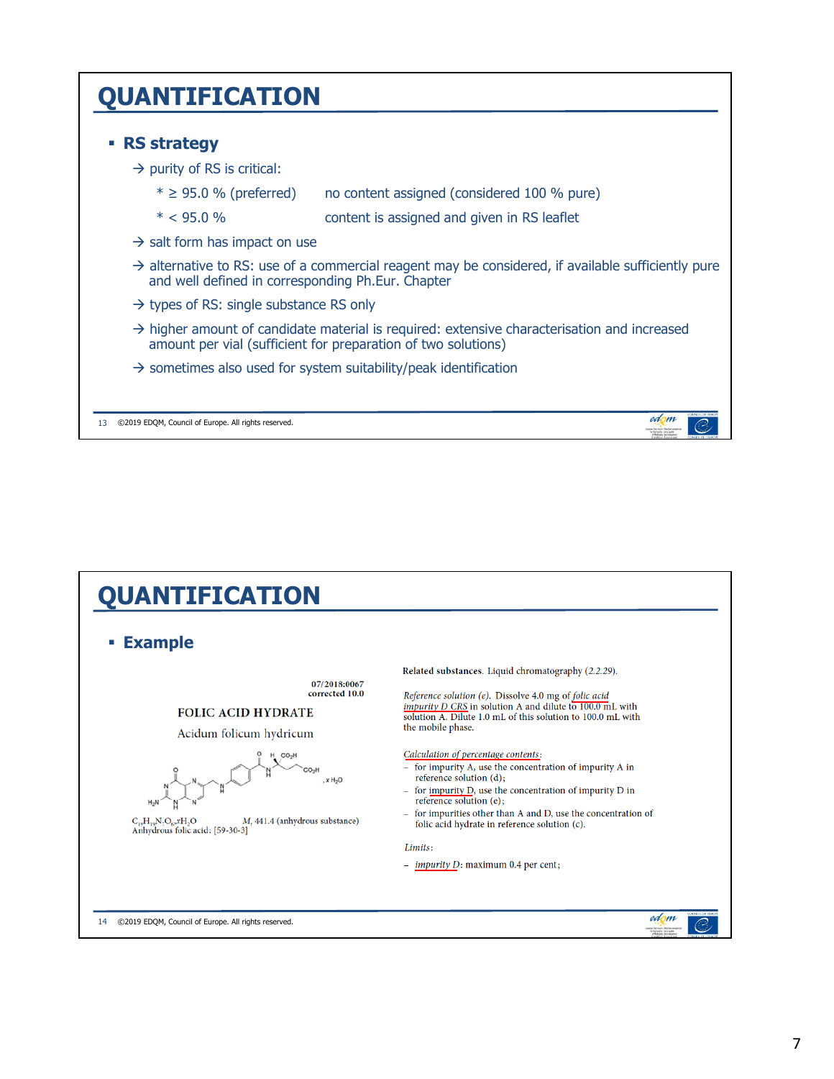### **QUANTIFICATION**

#### **RS strategy**

- $\rightarrow$  purity of RS is critical:
	- $* \geq 95.0$  % (preferred) no content assigned (considered 100 % pure)
	- \* < 95.0 % content is assigned and given in RS leaflet
- $\rightarrow$  salt form has impact on use
- $\rightarrow$  alternative to RS: use of a commercial reagent may be considered, if available sufficiently pure and well defined in corresponding Ph.Eur. Chapter
- $\rightarrow$  types of RS: single substance RS only
- $\rightarrow$  higher amount of candidate material is required: extensive characterisation and increased amount per vial (sufficient for preparation of two solutions)
- $\rightarrow$  sometimes also used for system suitability/peak identification

13 ©2019 EDQM, Council of Europe. All rights reserved.



edom